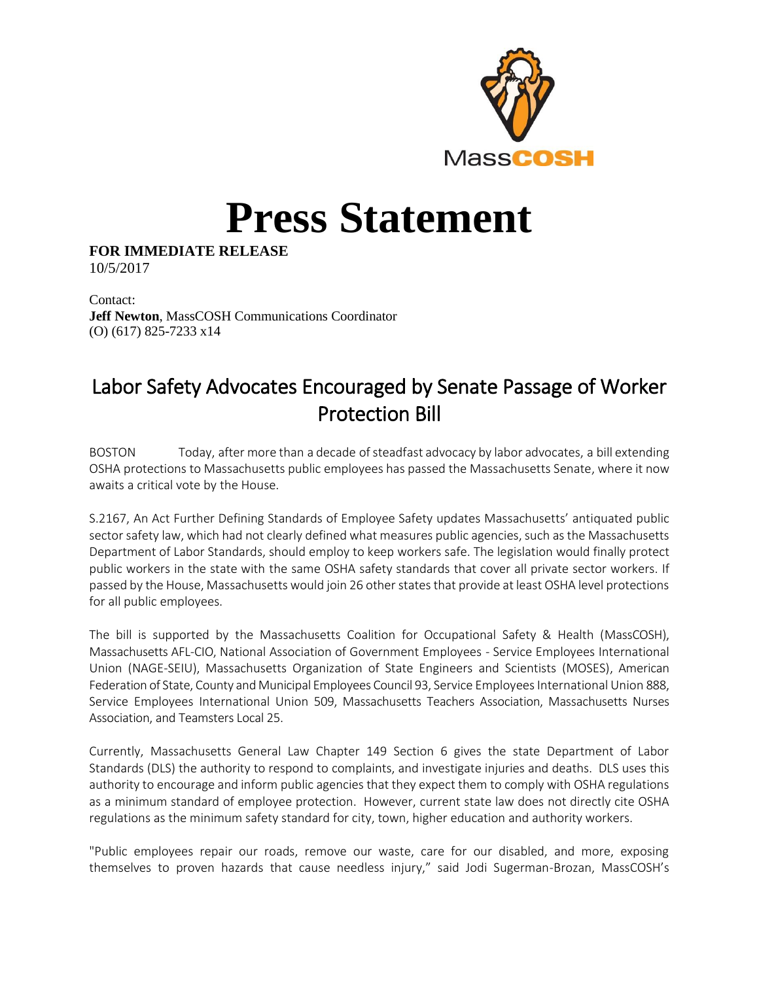

## **Press Statement**

**FOR IMMEDIATE RELEASE** 10/5/2017

Contact: **Jeff Newton**, MassCOSH Communications Coordinator (O) (617) 825-7233 x14

## Labor Safety Advocates Encouraged by Senate Passage of Worker Protection Bill

BOSTON Today, after more than a decade of steadfast advocacy by labor advocates, a bill extending OSHA protections to Massachusetts public employees has passed the Massachusetts Senate, where it now awaits a critical vote by the House.

S.2167, An Act Further Defining Standards of Employee Safety updates Massachusetts' antiquated public sector safety law, which had not clearly defined what measures public agencies, such as the Massachusetts Department of Labor Standards, should employ to keep workers safe. The legislation would finally protect public workers in the state with the same OSHA safety standards that cover all private sector workers. If passed by the House, Massachusetts would join 26 other states that provide at least OSHA level protections for all public employees.

The bill is supported by the Massachusetts Coalition for Occupational Safety & Health (MassCOSH), Massachusetts AFL-CIO, National Association of Government Employees - Service Employees International Union (NAGE-SEIU), Massachusetts Organization of State Engineers and Scientists (MOSES), American Federation of State, County and Municipal Employees Council 93, Service Employees International Union 888, Service Employees International Union 509, Massachusetts Teachers Association, Massachusetts Nurses Association, and Teamsters Local 25.

Currently, Massachusetts General Law Chapter 149 Section 6 gives the state Department of Labor Standards (DLS) the authority to respond to complaints, and investigate injuries and deaths. DLS uses this authority to encourage and inform public agencies that they expect them to comply with OSHA regulations as a minimum standard of employee protection. However, current state law does not directly cite OSHA regulations as the minimum safety standard for city, town, higher education and authority workers.

"Public employees repair our roads, remove our waste, care for our disabled, and more, exposing themselves to proven hazards that cause needless injury," said Jodi Sugerman-Brozan, MassCOSH's